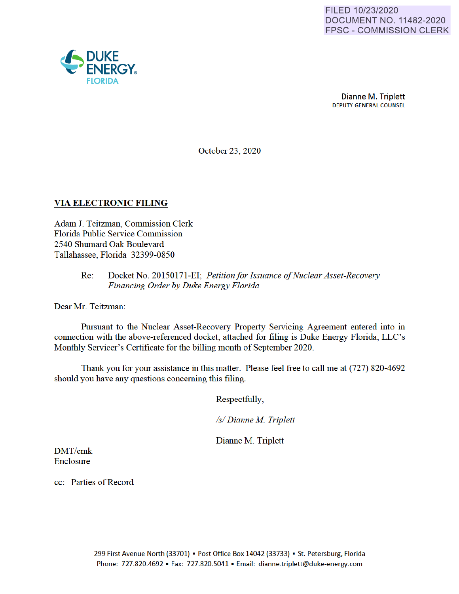

October 23, 2020

## **VIA ELECTRONIC FILING**

Adam J. Teitzman, Commission Clerk Florida Public Service Commission 2540 Shumard Oak Boulevard Tallahassee, Florida 32399-0850

#### Docket No. 20150171-EI; Petition for Issuance of Nuclear Asset-Recovery  $Re:$ Financing Order by Duke Energy Florida

Dear Mr. Teitzman:

Pursuant to the Nuclear Asset-Recovery Property Servicing Agreement entered into in connection with the above-referenced docket, attached for filing is Duke Energy Florida, LLC's Monthly Servicer's Certificate for the billing month of September 2020.

Thank you for your assistance in this matter. Please feel free to call me at (727) 820-4692 should you have any questions concerning this filing.

Respectfully,

/s/ Dianne M. Triplett

Dianne M. Triplett

DMT/cmk Enclosure

cc: Parties of Record

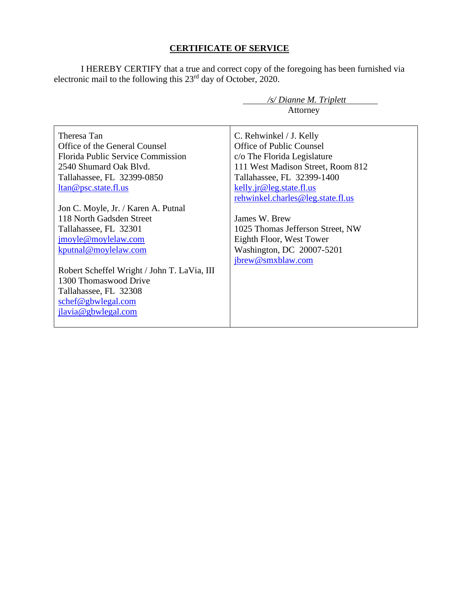# **CERTIFICATE OF SERVICE**

I HEREBY CERTIFY that a true and correct copy of the foregoing has been furnished via electronic mail to the following this 23<sup>rd</sup> day of October, 2020.

 */s/ Dianne M. Triplett*

|                                                                                                                                                                                                                                                                                       | Attorney                                                                                                                                                                              |
|---------------------------------------------------------------------------------------------------------------------------------------------------------------------------------------------------------------------------------------------------------------------------------------|---------------------------------------------------------------------------------------------------------------------------------------------------------------------------------------|
| Theresa Tan<br>Office of the General Counsel<br>Florida Public Service Commission<br>2540 Shumard Oak Blvd.<br>Tallahassee, FL 32399-0850<br><u>ltan@psc.state.fl.us</u>                                                                                                              | C. Rehwinkel / J. Kelly<br>Office of Public Counsel<br>c/o The Florida Legislature<br>111 West Madison Street, Room 812<br>Tallahassee, FL 32399-1400<br>$kelly$ . jr@leg.state.fl.us |
| Jon C. Moyle, Jr. / Karen A. Putnal<br>118 North Gadsden Street<br>Tallahassee, FL 32301<br>jmoyle@moylelaw.com<br>kputnal@moylelaw.com<br>Robert Scheffel Wright / John T. LaVia, III<br>1300 Thomaswood Drive<br>Tallahassee, FL 32308<br>schef@gbwlegal.com<br>jlavia@gbwlegal.com | rehwinkel.charles@leg.state.fl.us<br>James W. Brew<br>1025 Thomas Jefferson Street, NW<br>Eighth Floor, West Tower<br>Washington, DC 20007-5201<br>jbrew@smxblaw.com                  |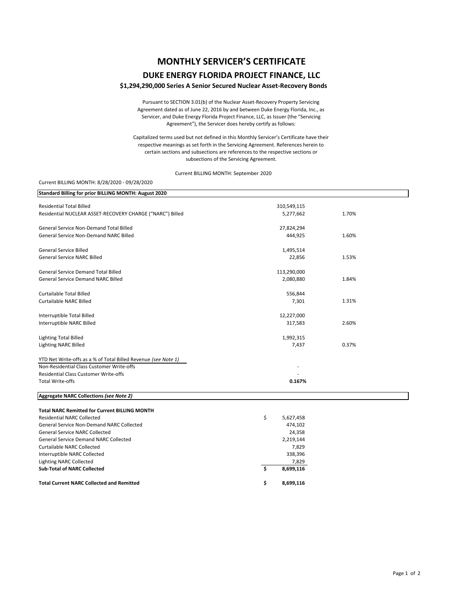# **MONTHLY SERVICER'S CERTIFICATE**

## **DUKE ENERGY FLORIDA PROJECT FINANCE, LLC**

## **\$1,294,290,000 Series A Senior Secured Nuclear Asset‐Recovery Bonds**

Pursuant to SECTION 3.01(b) of the Nuclear Asset‐Recovery Property Servicing Agreement dated as of June 22, 2016 by and between Duke Energy Florida, Inc., as Servicer, and Duke Energy Florida Project Finance, LLC, as Issuer (the "Servicing Agreement"), the Servicer does hereby certify as follows:

Capitalized terms used but not defined in this Monthly Servicer's Certificate have their respective meanings as set forth in the Servicing Agreement. References herein to certain sections and subsections are references to the respective sections or subsections of the Servicing Agreement.

Current BILLING MONTH: September 2020

### Current BILLING MONTH: 8/28/2020 ‐ 09/28/2020

| Standard Billing for prior BILLING MONTH: August 2020          |        |             |       |
|----------------------------------------------------------------|--------|-------------|-------|
| <b>Residential Total Billed</b>                                |        | 310,549,115 |       |
| Residential NUCLEAR ASSET-RECOVERY CHARGE ("NARC") Billed      |        | 5,277,662   | 1.70% |
|                                                                |        |             |       |
| <b>General Service Non-Demand Total Billed</b>                 |        | 27,824,294  |       |
| <b>General Service Non-Demand NARC Billed</b>                  |        | 444,925     | 1.60% |
|                                                                |        |             |       |
| <b>General Service Billed</b>                                  |        | 1,495,514   |       |
| <b>General Service NARC Billed</b>                             |        | 22,856      | 1.53% |
| <b>General Service Demand Total Billed</b>                     |        | 113,290,000 |       |
| <b>General Service Demand NARC Billed</b>                      |        | 2,080,880   | 1.84% |
|                                                                |        |             |       |
| <b>Curtailable Total Billed</b>                                |        | 556,844     |       |
| <b>Curtailable NARC Billed</b>                                 |        | 7,301       | 1.31% |
|                                                                |        |             |       |
| Interruptible Total Billed                                     |        | 12,227,000  |       |
| Interruptible NARC Billed                                      |        | 317,583     | 2.60% |
| <b>Lighting Total Billed</b>                                   |        | 1,992,315   |       |
| <b>Lighting NARC Billed</b>                                    |        | 7,437       | 0.37% |
|                                                                |        |             |       |
| YTD Net Write-offs as a % of Total Billed Revenue (see Note 1) |        |             |       |
| Non-Residential Class Customer Write-offs                      |        |             |       |
| <b>Residential Class Customer Write-offs</b>                   | 0.167% |             |       |
| <b>Total Write-offs</b>                                        |        |             |       |
| Aggregate NARC Collections (see Note 2)                        |        |             |       |
|                                                                |        |             |       |
| <b>Total NARC Remitted for Current BILLING MONTH</b>           |        |             |       |
| <b>Residential NARC Collected</b>                              | \$     | 5,627,458   |       |
| General Service Non-Demand NARC Collected                      |        | 474,102     |       |
| <b>General Service NARC Collected</b>                          |        | 24,358      |       |
| <b>General Service Demand NARC Collected</b>                   |        | 2,219,144   |       |
| <b>Curtailable NARC Collected</b>                              |        | 7,829       |       |
| Interruptible NARC Collected                                   |        | 338,396     |       |
| <b>Lighting NARC Collected</b>                                 | Ŝ.     | 7,829       |       |
| <b>Sub-Total of NARC Collected</b>                             |        | 8,699,116   |       |
| <b>Total Current NARC Collected and Remitted</b>               | \$     | 8,699,116   |       |